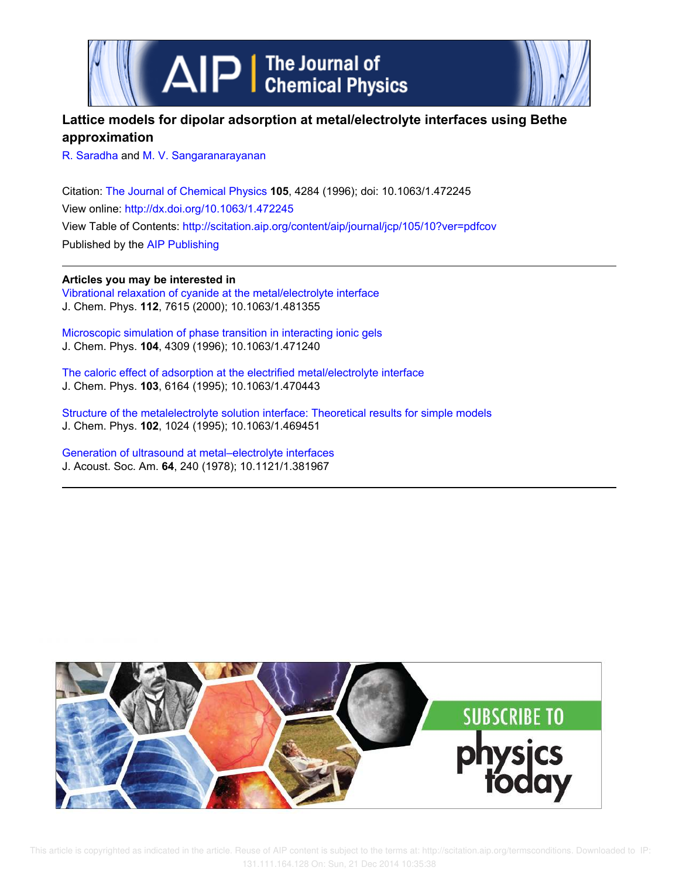

# **Lattice models for dipolar adsorption at metal/electrolyte interfaces using Bethe approximation**

R. Saradha and M. V. Sangaranarayanan

Citation: The Journal of Chemical Physics **105**, 4284 (1996); doi: 10.1063/1.472245 View online: http://dx.doi.org/10.1063/1.472245 View Table of Contents: http://scitation.aip.org/content/aip/journal/jcp/105/10?ver=pdfcov Published by the AIP Publishing

**Articles you may be interested in** Vibrational relaxation of cyanide at the metal/electrolyte interface J. Chem. Phys. **112**, 7615 (2000); 10.1063/1.481355

Microscopic simulation of phase transition in interacting ionic gels J. Chem. Phys. **104**, 4309 (1996); 10.1063/1.471240

The caloric effect of adsorption at the electrified metal/electrolyte interface J. Chem. Phys. **103**, 6164 (1995); 10.1063/1.470443

Structure of the metalelectrolyte solution interface: Theoretical results for simple models J. Chem. Phys. **102**, 1024 (1995); 10.1063/1.469451

Generation of ultrasound at metal–electrolyte interfaces J. Acoust. Soc. Am. **64**, 240 (1978); 10.1121/1.381967

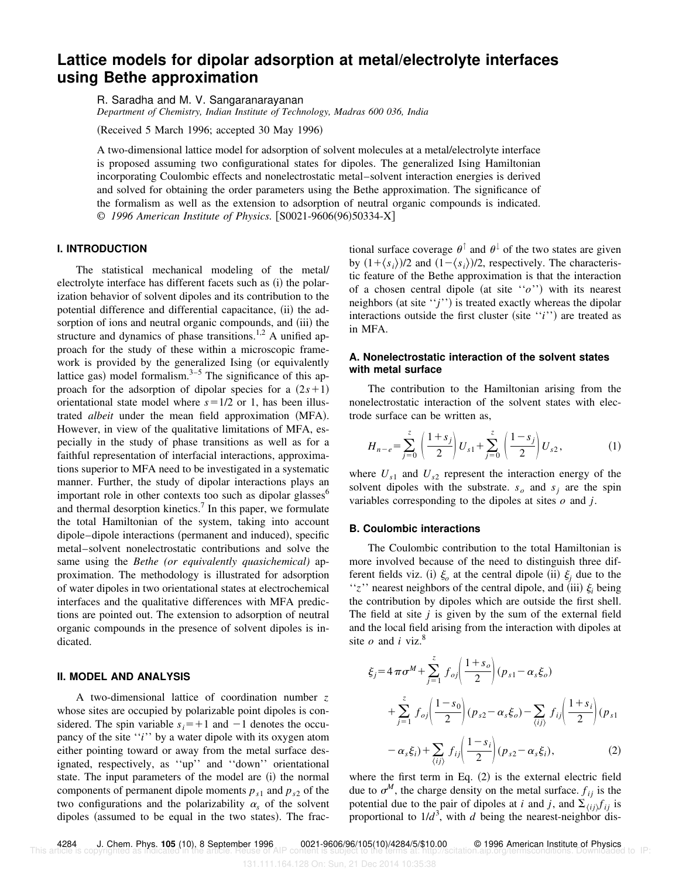# **Lattice models for dipolar adsorption at metal/electrolyte interfaces using Bethe approximation**

R. Saradha and M. V. Sangaranarayanan

*Department of Chemistry, Indian Institute of Technology, Madras 600 036, India*

(Received 5 March 1996; accepted 30 May 1996)

A two-dimensional lattice model for adsorption of solvent molecules at a metal/electrolyte interface is proposed assuming two configurational states for dipoles. The generalized Ising Hamiltonian incorporating Coulombic effects and nonelectrostatic metal–solvent interaction energies is derived and solved for obtaining the order parameters using the Bethe approximation. The significance of the formalism as well as the extension to adsorption of neutral organic compounds is indicated. © 1996 American Institute of Physics. [S0021-9606(96)50334-X]

## **I. INTRODUCTION**

The statistical mechanical modeling of the metal/ electrolyte interface has different facets such as  $(i)$  the polarization behavior of solvent dipoles and its contribution to the potential difference and differential capacitance, (ii) the adsorption of ions and neutral organic compounds, and (iii) the structure and dynamics of phase transitions.<sup>1,2</sup> A unified approach for the study of these within a microscopic framework is provided by the generalized Ising (or equivalently lattice gas) model formalism. $3-5$  The significance of this approach for the adsorption of dipolar species for a  $(2s+1)$ orientational state model where  $s=1/2$  or 1, has been illustrated *albeit* under the mean field approximation (MFA). However, in view of the qualitative limitations of MFA, especially in the study of phase transitions as well as for a faithful representation of interfacial interactions, approximations superior to MFA need to be investigated in a systematic manner. Further, the study of dipolar interactions plays an important role in other contexts too such as dipolar glasses $<sup>6</sup>$ </sup> and thermal desorption kinetics.<sup>7</sup> In this paper, we formulate the total Hamiltonian of the system, taking into account dipole–dipole interactions (permanent and induced), specific metal–solvent nonelectrostatic contributions and solve the same using the *Bethe (or equivalently quasichemical)* approximation. The methodology is illustrated for adsorption of water dipoles in two orientational states at electrochemical interfaces and the qualitative differences with MFA predictions are pointed out. The extension to adsorption of neutral organic compounds in the presence of solvent dipoles is indicated.

### **II. MODEL AND ANALYSIS**

A two-dimensional lattice of coordination number *z* whose sites are occupied by polarizable point dipoles is considered. The spin variable  $s_i = +1$  and  $-1$  denotes the occupancy of the site "*i*" by a water dipole with its oxygen atom either pointing toward or away from the metal surface designated, respectively, as ''up'' and ''down'' orientational state. The input parameters of the model are (i) the normal components of permanent dipole moments  $p_{s1}$  and  $p_{s2}$  of the two configurations and the polarizability  $\alpha_s$  of the solvent dipoles (assumed to be equal in the two states). The frac-

tional surface coverage  $\theta^{\dagger}$  and  $\theta^{\dagger}$  of the two states are given by  $(1+\langle s_i \rangle)/2$  and  $(1-\langle s_i \rangle)/2$ , respectively. The characteristic feature of the Bethe approximation is that the interaction of a chosen central dipole (at site  $``o"$ ) with its nearest neighbors (at site  $'j'$ ) is treated exactly whereas the dipolar interactions outside the first cluster (site  $'i'$ ) are treated as in MFA.

### **A. Nonelectrostatic interaction of the solvent states with metal surface**

The contribution to the Hamiltonian arising from the nonelectrostatic interaction of the solvent states with electrode surface can be written as,

$$
H_{n-e} = \sum_{j=0}^{z} \left( \frac{1+s_j}{2} \right) U_{s1} + \sum_{j=0}^{z} \left( \frac{1-s_j}{2} \right) U_{s2}, \tag{1}
$$

where  $U_{s1}$  and  $U_{s2}$  represent the interaction energy of the solvent dipoles with the substrate.  $s_o$  and  $s_j$  are the spin variables corresponding to the dipoles at sites *o* and *j*.

#### **B. Coulombic interactions**

The Coulombic contribution to the total Hamiltonian is more involved because of the need to distinguish three different fields viz. (i)  $\xi$  at the central dipole (ii)  $\xi$  due to the " $z$ " nearest neighbors of the central dipole, and (iii)  $\xi$  being the contribution by dipoles which are outside the first shell. The field at site *j* is given by the sum of the external field and the local field arising from the interaction with dipoles at site  $o$  and  $i$  viz.<sup>8</sup>

$$
\xi_j = 4 \pi \sigma^M + \sum_{j=1}^{z} f_{oj} \left( \frac{1 + s_o}{2} \right) (p_{s1} - \alpha_s \xi_o)
$$
  
+ 
$$
\sum_{j=1}^{z} f_{oj} \left( \frac{1 - s_o}{2} \right) (p_{s2} - \alpha_s \xi_o) - \sum_{\langle ij \rangle} f_{ij} \left( \frac{1 + s_i}{2} \right) (p_{s1} - \alpha_s \xi_i) + \sum_{\langle ij \rangle} f_{ij} \left( \frac{1 - s_j}{2} \right) (p_{s2} - \alpha_s \xi_i), \tag{2}
$$

where the first term in Eq.  $(2)$  is the external electric field due to  $\sigma^M$ , the charge density on the metal surface.  $f_{ij}$  is the potential due to the pair of dipoles at *i* and *j*, and  $\sum_{\langle ij \rangle} f_{ij}$  is proportional to  $1/d^3$ , with *d* being the nearest-neighbor dis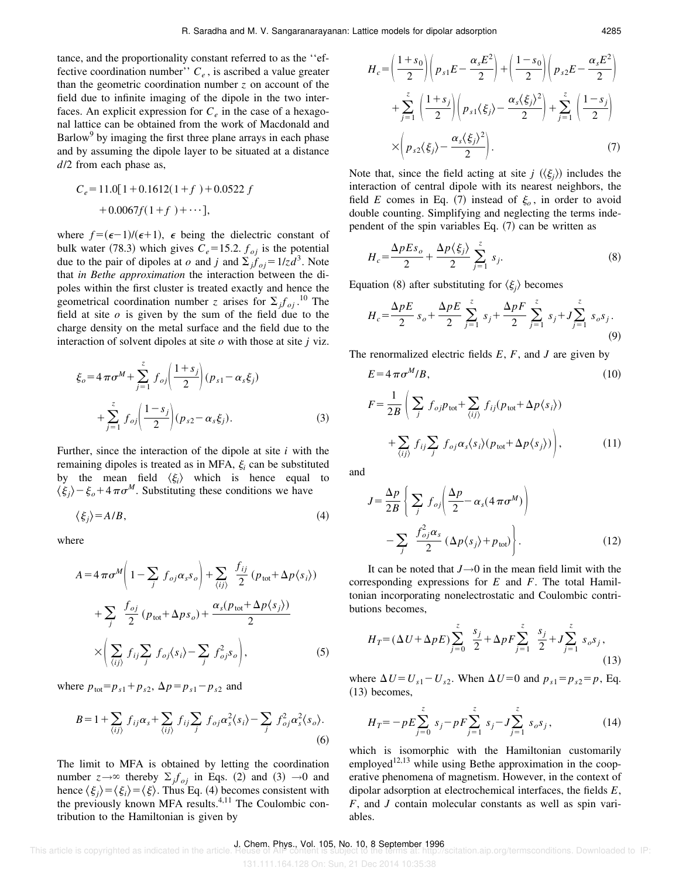tance, and the proportionality constant referred to as the ''effective coordination number'' *C<sup>e</sup>* , is ascribed a value greater than the geometric coordination number  $z$  on account of the field due to infinite imaging of the dipole in the two interfaces. An explicit expression for  $C_e$  in the case of a hexagonal lattice can be obtained from the work of Macdonald and Barlow<sup>9</sup> by imaging the first three plane arrays in each phase and by assuming the dipole layer to be situated at a distance *d*/2 from each phase as,

$$
C_e = 11.0[1 + 0.1612(1 + f) + 0.0522 f
$$

$$
+ 0.0067f(1 + f) + \cdots],
$$

where  $f = (\epsilon - 1)/(\epsilon + 1)$ ,  $\epsilon$  being the dielectric constant of bulk water (78.3) which gives  $C_e$ =15.2.  $f_{oj}$  is the potential due to the pair of dipoles at *o* and *j* and  $\sum_{j}^{3} f_{oj} = 1/zd^{3}$ . Note that *in Bethe approximation* the interaction between the dipoles within the first cluster is treated exactly and hence the geometrical coordination number *z* arises for  $\sum_j f_{oj}$ .<sup>10</sup> The field at site *o* is given by the sum of the field due to the charge density on the metal surface and the field due to the interaction of solvent dipoles at site *o* with those at site *j* viz.

$$
\xi_o = 4 \pi \sigma^M + \sum_{j=1}^{z} f_{oj} \left( \frac{1 + s_j}{2} \right) (p_{s1} - \alpha_s \xi_j)
$$

$$
+ \sum_{j=1}^{z} f_{oj} \left( \frac{1 - s_j}{2} \right) (p_{s2} - \alpha_s \xi_j). \tag{3}
$$

Further, since the interaction of the dipole at site *i* with the remaining dipoles is treated as in MFA,  $\xi$ <sub>i</sub> can be substituted by the mean field  $\langle \xi_i \rangle$  which is hence equal to  $\langle \xi_j \rangle - \xi_o + 4\pi \sigma^M$ . Substituting these conditions we have

$$
\langle \xi_j \rangle = A/B,\tag{4}
$$

where

$$
A = 4 \pi \sigma^M \left( 1 - \sum_j f_{oj} \alpha_s s_o \right) + \sum_{\langle ij \rangle} \frac{f_{ij}}{2} \left( p_{\text{tot}} + \Delta p \langle s_i \rangle \right)
$$
  
+ 
$$
\sum_j \frac{f_{oj}}{2} \left( p_{\text{tot}} + \Delta p s_o \right) + \frac{\alpha_s (p_{\text{tot}} + \Delta p \langle s_j \rangle)}{2}
$$
  

$$
\times \left( \sum_{\langle ij \rangle} f_{ij} \sum_j f_{oj} \langle s_i \rangle - \sum_j f_{oj}^2 s_o \right),
$$
 (5)

where  $p_{\text{tot}} = p_{s1} + p_{s2}, \Delta p = p_{s1} - p_{s2}$  and

$$
B = 1 + \sum_{\langle ij \rangle} f_{ij} \alpha_s + \sum_{\langle ij \rangle} f_{ij} \sum_j f_{oj} \alpha_s^2 \langle s_i \rangle - \sum_j f_{oj}^2 \alpha_s^2 \langle s_o \rangle.
$$
\n(6)

The limit to MFA is obtained by letting the coordination number  $z \rightarrow \infty$  thereby  $\sum_j f_{oj}$  in Eqs. (2) and (3)  $\rightarrow 0$  and hence  $\langle \xi_j \rangle = \langle \xi_i \rangle = \langle \xi \rangle$ . Thus Eq. (4) becomes consistent with the previously known MFA results.<sup>4,11</sup> The Coulombic contribution to the Hamiltonian is given by

$$
H_c = \left(\frac{1+s_0}{2}\right) \left(p_{s1}E - \frac{\alpha_s E^2}{2}\right) + \left(\frac{1-s_0}{2}\right) \left(p_{s2}E - \frac{\alpha_s E^2}{2}\right)
$$

$$
+ \sum_{j=1}^z \left(\frac{1+s_j}{2}\right) \left(p_{s1}\langle\xi_j\rangle - \frac{\alpha_s\langle\xi_j\rangle^2}{2}\right) + \sum_{j=1}^z \left(\frac{1-s_j}{2}\right)
$$

$$
\times \left(p_{s2}\langle\xi_j\rangle - \frac{\alpha_s\langle\xi_j\rangle^2}{2}\right).
$$
(7)

Note that, since the field acting at site *j*  $(\langle \xi_j \rangle)$  includes the interaction of central dipole with its nearest neighbors, the field *E* comes in Eq. (7) instead of  $\xi_o$ , in order to avoid double counting. Simplifying and neglecting the terms independent of the spin variables Eq.  $(7)$  can be written as

$$
H_c = \frac{\Delta p E s_o}{2} + \frac{\Delta p \langle \xi_j \rangle}{2} \sum_{j=1}^{z} s_j.
$$
 (8)

Equation (8) after substituting for  $\langle \xi_j \rangle$  becomes

$$
H_c = \frac{\Delta p E}{2} s_o + \frac{\Delta p E}{2} \sum_{j=1}^{z} s_j + \frac{\Delta p F}{2} \sum_{j=1}^{z} s_j + J \sum_{j=1}^{z} s_o s_j.
$$
\n(9)

The renormalized electric fields *E*, *F*, and *J* are given by

$$
E = 4 \pi \sigma^M / B,
$$
\n(10)  
\n
$$
F = \frac{1}{2B} \left( \sum_j f_{oj} p_{\text{tot}} + \sum_{\langle ij \rangle} f_{ij} (p_{\text{tot}} + \Delta p \langle s_i \rangle) + \sum_{\langle ij \rangle} f_{ij} \sum_j f_{oj} \alpha_s \langle s_i \rangle (p_{\text{tot}} + \Delta p \langle s_j \rangle) \right),
$$
\n(11)

and

$$
J = \frac{\Delta p}{2B} \left\{ \sum_{j} f_{oj} \left( \frac{\Delta p}{2} - \alpha_s (4 \pi \sigma^M) \right) - \sum_{j} \frac{f_{oj}^2 \alpha_s}{2} \left( \Delta p \langle s_j \rangle + p_{\text{tot}} \right) \right\}.
$$
 (12)

It can be noted that  $J \rightarrow 0$  in the mean field limit with the corresponding expressions for *E* and *F*. The total Hamiltonian incorporating nonelectrostatic and Coulombic contributions becomes,

$$
H_T = (\Delta U + \Delta p E) \sum_{j=0}^{z} \frac{s_j}{2} + \Delta p F \sum_{j=1}^{z} \frac{s_j}{2} + J \sum_{j=1}^{z} s_o s_j,
$$
\n(13)

where  $\Delta U = U_{s1} - U_{s2}$ . When  $\Delta U = 0$  and  $p_{s1} = p_{s2} = p$ , Eq.  $(13)$  becomes,

$$
H_T = -pE \sum_{j=0}^{z} s_j - pF \sum_{j=1}^{z} s_j - J \sum_{j=1}^{z} s_o s_j,
$$
 (14)

which is isomorphic with the Hamiltonian customarily employed<sup>12,13</sup> while using Bethe approximation in the cooperative phenomena of magnetism. However, in the context of dipolar adsorption at electrochemical interfaces, the fields *E*, *F*, and *J* contain molecular constants as well as spin variables.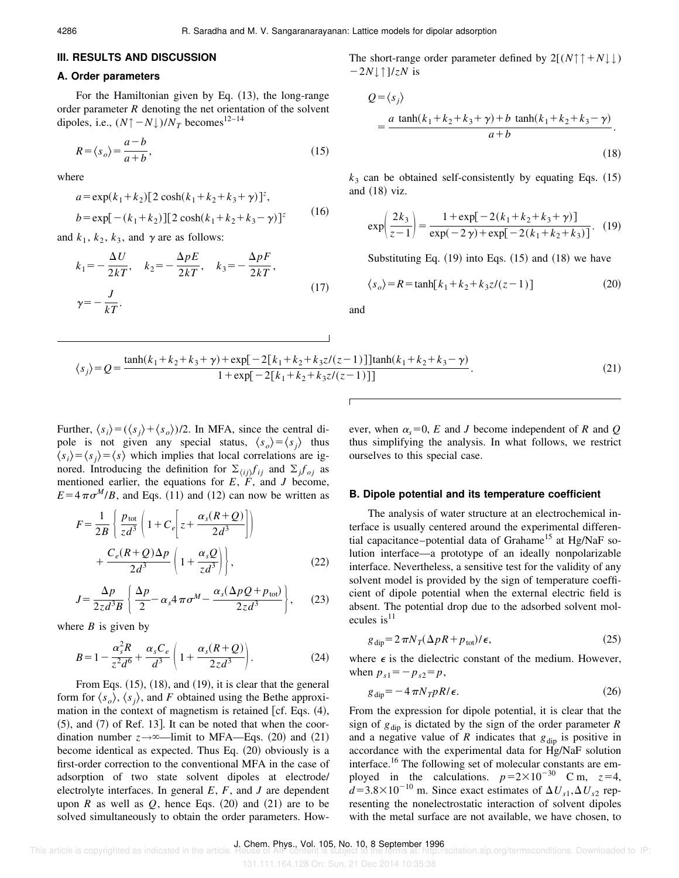#### **III. RESULTS AND DISCUSSION**

#### **A. Order parameters**

For the Hamiltonian given by Eq.  $(13)$ , the long-range order parameter *R* denoting the net orientation of the solvent dipoles, i.e.,  $(N \uparrow -N \downarrow)/N_T$  becomes<sup>12–14</sup>

$$
R = \langle s_o \rangle = \frac{a - b}{a + b},\tag{15}
$$

where

$$
a = \exp(k_1 + k_2)[2 \cosh(k_1 + k_2 + k_3 + \gamma)]^z,
$$
  
\n
$$
b = \exp[-(k_1 + k_2)][2 \cosh(k_1 + k_2 + k_3 - \gamma)]^z
$$
 (16)

and  $k_1$ ,  $k_2$ ,  $k_3$ , and  $\gamma$  are as follows:

$$
k_1 = -\frac{\Delta U}{2kT}, \quad k_2 = -\frac{\Delta pE}{2kT}, \quad k_3 = -\frac{\Delta pF}{2kT},
$$
  

$$
\gamma = -\frac{J}{kT}.
$$
 (17)

The short-range order parameter defined by  $2[(N \uparrow \uparrow + N \downarrow \downarrow)$  $-2N$ |↑ $1/zN$  is

$$
Q = \langle s_j \rangle
$$
  
=  $\frac{a \tanh(k_1 + k_2 + k_3 + \gamma) + b \tanh(k_1 + k_2 + k_3 - \gamma)}{a + b}$ . (18)

 $k_3$  can be obtained self-consistently by equating Eqs.  $(15)$ and  $(18)$  viz.

$$
\exp\left(\frac{2k_3}{z-1}\right) = \frac{1 + \exp[-2(k_1 + k_2 + k_3 + \gamma)]}{\exp(-2\gamma) + \exp[-2(k_1 + k_2 + k_3)]}.
$$
 (19)

Substituting Eq.  $(19)$  into Eqs.  $(15)$  and  $(18)$  we have

$$
\langle s_o \rangle = R = \tanh[k_1 + k_2 + k_3 z/(z - 1)] \tag{20}
$$

and

$$
\langle s_j \rangle = Q = \frac{\tanh(k_1 + k_2 + k_3 + \gamma) + \exp[-2[k_1 + k_2 + k_3 z/(z-1)]]\tanh(k_1 + k_2 + k_3 - \gamma)}{1 + \exp[-2[k_1 + k_2 + k_3 z/(z-1)]]}.
$$
\n(21)

Further,  $\langle s_i \rangle = (\langle s_i \rangle + \langle s_o \rangle)/2$ . In MFA, since the central dipole is not given any special status,  $\langle s_o \rangle = \langle s_i \rangle$  thus  $\langle s_i \rangle = \langle s_j \rangle = \langle s \rangle$  which implies that local correlations are ignored. Introducing the definition for  $\Sigma_{\langle i j \rangle} f_{i j}$  and  $\Sigma_j f_{\langle i j \rangle}$  as mentioned earlier, the equations for  $E$ ,  $F$ , and  $J$  become,  $E = 4 \pi \sigma^M/B$ , and Eqs. (11) and (12) can now be written as

$$
F = \frac{1}{2B} \left\{ \frac{p_{\text{tot}}}{z d^3} \left( 1 + C_e \left[ z + \frac{\alpha_s (R + Q)}{2d^3} \right] \right) + \frac{C_e (R + Q) \Delta p}{2d^3} \left( 1 + \frac{\alpha_s Q}{z d^3} \right) \right\},\tag{22}
$$

$$
J = \frac{\Delta p}{2z d^3 B} \left\{ \frac{\Delta p}{2} - \alpha_s 4 \pi \sigma^M - \frac{\alpha_s (\Delta p Q + p_{\text{tot}})}{2z d^3} \right\},\qquad(23)
$$

where  $B$  is given by

$$
B = 1 - \frac{\alpha_s^2 R}{z^2 d^6} + \frac{\alpha_s C_e}{d^3} \left( 1 + \frac{\alpha_s (R + Q)}{2z d^3} \right).
$$
 (24)

From Eqs.  $(15)$ ,  $(18)$ , and  $(19)$ , it is clear that the general form for  $\langle s_{o} \rangle$ ,  $\langle s_{i} \rangle$ , and *F* obtained using the Bethe approximation in the context of magnetism is retained  $[cf. Eqs. (4),]$  $(5)$ , and  $(7)$  of Ref. 13. It can be noted that when the coordination number  $z \rightarrow \infty$ —limit to MFA—Eqs. (20) and (21) become identical as expected. Thus Eq.  $(20)$  obviously is a first-order correction to the conventional MFA in the case of adsorption of two state solvent dipoles at electrode/ electrolyte interfaces. In general *E*, *F*, and *J* are dependent upon *R* as well as  $Q$ , hence Eqs.  $(20)$  and  $(21)$  are to be solved simultaneously to obtain the order parameters. However, when  $\alpha_s = 0$ , *E* and *J* become independent of *R* and *Q* thus simplifying the analysis. In what follows, we restrict ourselves to this special case.

#### **B. Dipole potential and its temperature coefficient**

The analysis of water structure at an electrochemical interface is usually centered around the experimental differential capacitance–potential data of Grahame<sup>15</sup> at Hg/NaF solution interface—a prototype of an ideally nonpolarizable interface. Nevertheless, a sensitive test for the validity of any solvent model is provided by the sign of temperature coefficient of dipole potential when the external electric field is absent. The potential drop due to the adsorbed solvent molecules is $^{11}$ 

$$
g_{\rm dip} = 2\,\pi N_T (\Delta pR + p_{\rm tot})/\epsilon,\tag{25}
$$

where  $\epsilon$  is the dielectric constant of the medium. However, when  $p_{s1} = -p_{s2} = p$ ,

$$
g_{\rm dip} = -4\pi N_T pR/\epsilon. \tag{26}
$$

From the expression for dipole potential, it is clear that the sign of  $g_{\text{dip}}$  is dictated by the sign of the order parameter *R* and a negative value of *R* indicates that  $g_{\text{dip}}$  is positive in accordance with the experimental data for Hg/NaF solution interface.<sup>16</sup> The following set of molecular constants are employed in the calculations.  $p=2\times10^{-30}$  C m,  $z=4$ ,  $d=3.8\times10^{-10}$  m. Since exact estimates of  $\Delta U_{s1}$ ,  $\Delta U_{s2}$  representing the nonelectrostatic interaction of solvent dipoles with the metal surface are not available, we have chosen, to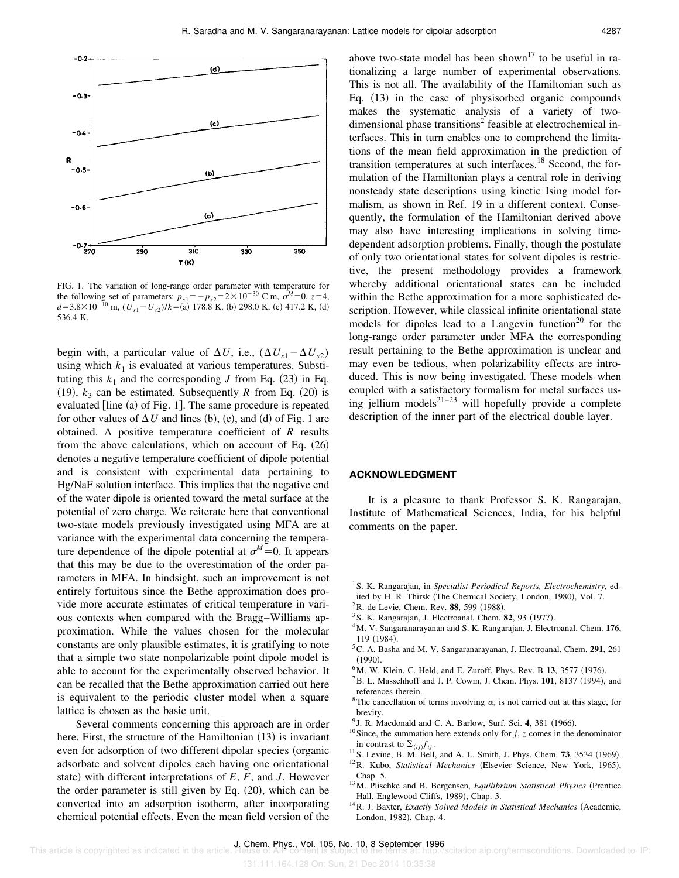

FIG. 1. The variation of long-range order parameter with temperature for the following set of parameters:  $p_{s1} = -p_{s2} = 2 \times 10^{-30}$  C m,  $\sigma^M = 0$ ,  $z = 4$ ,  $d=3.8\times10^{-10}$  m,  $(U_{s1} - U_{s2})/k = (a)$  178.8 K, (b) 298.0 K, (c) 417.2 K, (d) 536.4 K.

begin with, a particular value of  $\Delta U$ , i.e.,  $(\Delta U_{s1} - \Delta U_{s2})$ using which  $k_1$  is evaluated at various temperatures. Substituting this  $k_1$  and the corresponding *J* from Eq. (23) in Eq.  $(19)$ ,  $k_3$  can be estimated. Subsequently *R* from Eq.  $(20)$  is evaluated  $[line (a)$  of Fig. 1. The same procedure is repeated for other values of  $\Delta U$  and lines (b), (c), and (d) of Fig. 1 are obtained. A positive temperature coefficient of *R* results from the above calculations, which on account of Eq.  $(26)$ denotes a negative temperature coefficient of dipole potential and is consistent with experimental data pertaining to Hg/NaF solution interface. This implies that the negative end of the water dipole is oriented toward the metal surface at the potential of zero charge. We reiterate here that conventional two-state models previously investigated using MFA are at variance with the experimental data concerning the temperature dependence of the dipole potential at  $\sigma^M = 0$ . It appears that this may be due to the overestimation of the order parameters in MFA. In hindsight, such an improvement is not entirely fortuitous since the Bethe approximation does provide more accurate estimates of critical temperature in various contexts when compared with the Bragg–Williams approximation. While the values chosen for the molecular constants are only plausible estimates, it is gratifying to note that a simple two state nonpolarizable point dipole model is able to account for the experimentally observed behavior. It can be recalled that the Bethe approximation carried out here is equivalent to the periodic cluster model when a square lattice is chosen as the basic unit.

Several comments concerning this approach are in order here. First, the structure of the Hamiltonian  $(13)$  is invariant even for adsorption of two different dipolar species (organic adsorbate and solvent dipoles each having one orientational state) with different interpretations of  $E$ ,  $F$ , and  $J$ . However the order parameter is still given by Eq.  $(20)$ , which can be converted into an adsorption isotherm, after incorporating chemical potential effects. Even the mean field version of the above two-state model has been shown<sup>17</sup> to be useful in rationalizing a large number of experimental observations. This is not all. The availability of the Hamiltonian such as Eq.  $(13)$  in the case of physisorbed organic compounds makes the systematic analysis of a variety of twodimensional phase transitions<sup>2</sup> feasible at electrochemical interfaces. This in turn enables one to comprehend the limitations of the mean field approximation in the prediction of transition temperatures at such interfaces.<sup>18</sup> Second, the formulation of the Hamiltonian plays a central role in deriving nonsteady state descriptions using kinetic Ising model formalism, as shown in Ref. 19 in a different context. Consequently, the formulation of the Hamiltonian derived above may also have interesting implications in solving timedependent adsorption problems. Finally, though the postulate of only two orientational states for solvent dipoles is restrictive, the present methodology provides a framework whereby additional orientational states can be included within the Bethe approximation for a more sophisticated description. However, while classical infinite orientational state models for dipoles lead to a Langevin function<sup>20</sup> for the long-range order parameter under MFA the corresponding result pertaining to the Bethe approximation is unclear and may even be tedious, when polarizability effects are introduced. This is now being investigated. These models when coupled with a satisfactory formalism for metal surfaces using jellium models<sup>21–23</sup> will hopefully provide a complete description of the inner part of the electrical double layer.

## **ACKNOWLEDGMENT**

It is a pleasure to thank Professor S. K. Rangarajan, Institute of Mathematical Sciences, India, for his helpful comments on the paper.

- <sup>1</sup> S. K. Rangarajan, in *Specialist Periodical Reports, Electrochemistry*, edited by H. R. Thirsk (The Chemical Society, London, 1980), Vol. 7.
- $2R$ . de Levie, Chem. Rev. 88, 599 (1988).
- <sup>3</sup> S. K. Rangarajan, J. Electroanal. Chem. **82**, 93 (1977).
- <sup>4</sup>M. V. Sangaranarayanan and S. K. Rangarajan, J. Electroanal. Chem. **176**, 119 (1984).
- <sup>5</sup>C. A. Basha and M. V. Sangaranarayanan, J. Electroanal. Chem. **291**, 261  $(1990).$
- ${}^{6}$ M. W. Klein, C. Held, and E. Zuroff, Phys. Rev. B 13, 3577 (1976).
- $^7$ B. L. Masschhoff and J. P. Cowin, J. Chem. Phys.  $101$ , 8137 (1994), and references therein.
- <sup>8</sup>The cancellation of terms involving  $\alpha_s$  is not carried out at this stage, for brevity.
- <sup>9</sup> J. R. Macdonald and C. A. Barlow, Surf. Sci. 4, 381 (1966).
- <sup>10</sup>Since, the summation here extends only for  $j$ ,  $z$  comes in the denominator in contrast to  $\Sigma_{\langle i j \rangle} f_{i j}$ .
- $11$  S. Levine, B. M. Bell, and A. L. Smith, J. Phys. Chem. **73**, 3534 (1969).

<sup>12</sup>R. Kubo, *Statistical Mechanics* (Elsevier Science, New York, 1965), Chap. 5.

- <sup>13</sup>M. Plischke and B. Bergensen, *Equilibrium Statistical Physics* (Prentice Hall, Englewood Cliffs, 1989), Chap. 3.
- <sup>14</sup> R. J. Baxter, *Exactly Solved Models in Statistical Mechanics* (Academic, London, 1982), Chap. 4.